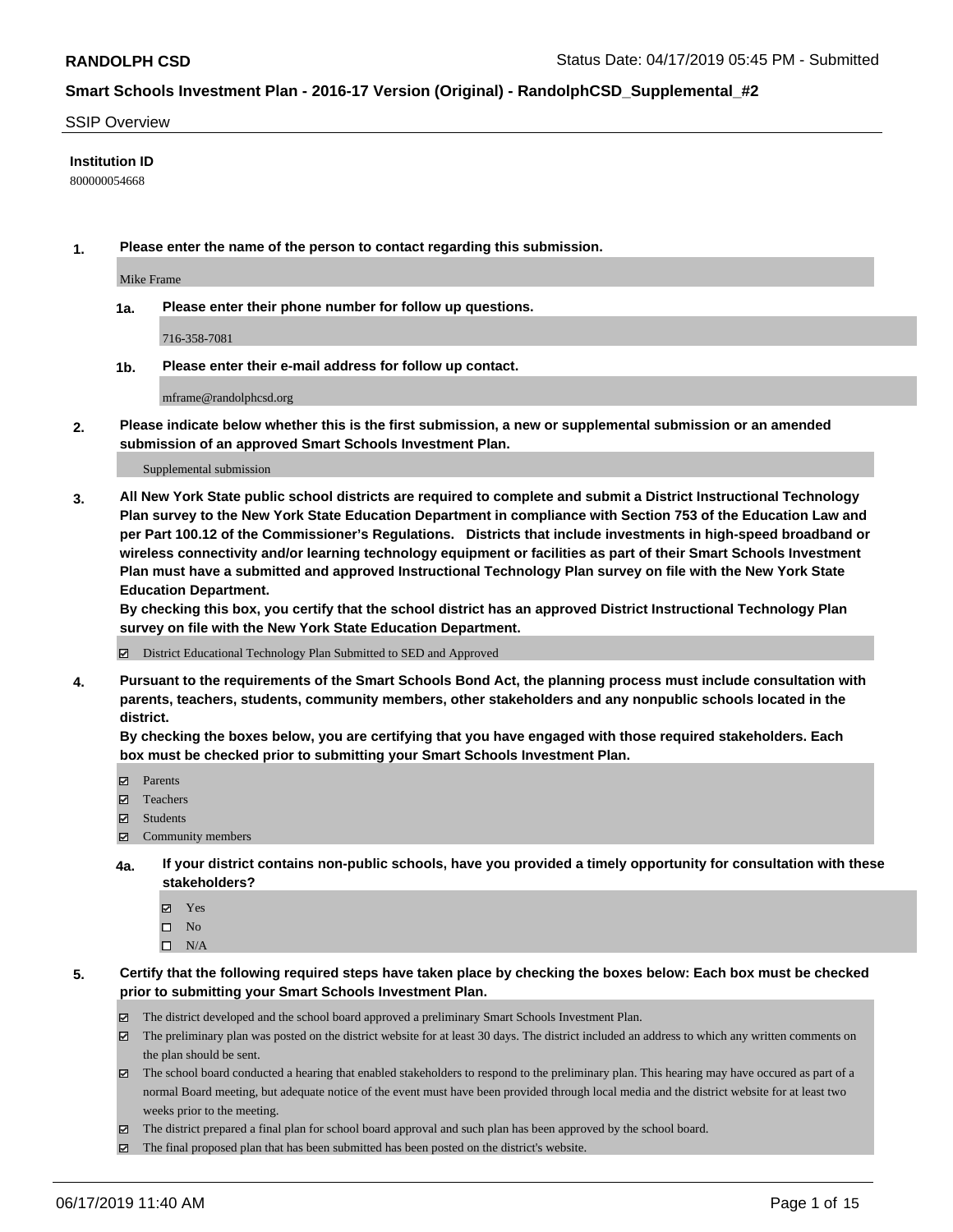#### SSIP Overview

#### **Institution ID**

800000054668

**1. Please enter the name of the person to contact regarding this submission.**

Mike Frame

**1a. Please enter their phone number for follow up questions.**

716-358-7081

**1b. Please enter their e-mail address for follow up contact.**

mframe@randolphcsd.org

**2. Please indicate below whether this is the first submission, a new or supplemental submission or an amended submission of an approved Smart Schools Investment Plan.**

#### Supplemental submission

**3. All New York State public school districts are required to complete and submit a District Instructional Technology Plan survey to the New York State Education Department in compliance with Section 753 of the Education Law and per Part 100.12 of the Commissioner's Regulations. Districts that include investments in high-speed broadband or wireless connectivity and/or learning technology equipment or facilities as part of their Smart Schools Investment Plan must have a submitted and approved Instructional Technology Plan survey on file with the New York State Education Department.** 

**By checking this box, you certify that the school district has an approved District Instructional Technology Plan survey on file with the New York State Education Department.**

District Educational Technology Plan Submitted to SED and Approved

**4. Pursuant to the requirements of the Smart Schools Bond Act, the planning process must include consultation with parents, teachers, students, community members, other stakeholders and any nonpublic schools located in the district.** 

**By checking the boxes below, you are certifying that you have engaged with those required stakeholders. Each box must be checked prior to submitting your Smart Schools Investment Plan.**

- Parents
- Teachers
- Students
- Community members
- **4a. If your district contains non-public schools, have you provided a timely opportunity for consultation with these stakeholders?**
	- Yes
	- $\square$  No
	- $\square$  N/A
- **5. Certify that the following required steps have taken place by checking the boxes below: Each box must be checked prior to submitting your Smart Schools Investment Plan.**
	- The district developed and the school board approved a preliminary Smart Schools Investment Plan.
	- $\boxtimes$  The preliminary plan was posted on the district website for at least 30 days. The district included an address to which any written comments on the plan should be sent.
	- $\boxtimes$  The school board conducted a hearing that enabled stakeholders to respond to the preliminary plan. This hearing may have occured as part of a normal Board meeting, but adequate notice of the event must have been provided through local media and the district website for at least two weeks prior to the meeting.
	- The district prepared a final plan for school board approval and such plan has been approved by the school board.
	- $\boxtimes$  The final proposed plan that has been submitted has been posted on the district's website.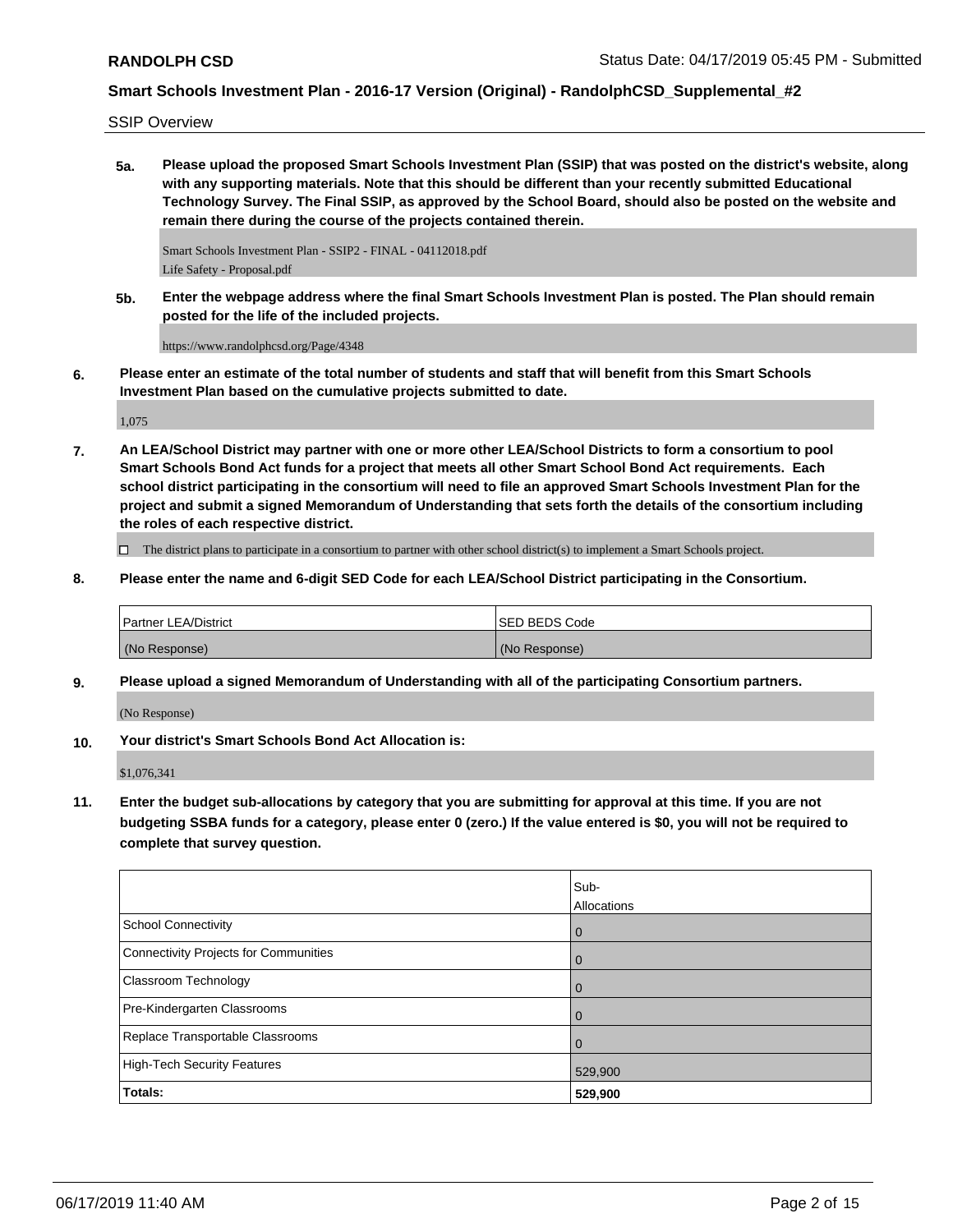SSIP Overview

**5a. Please upload the proposed Smart Schools Investment Plan (SSIP) that was posted on the district's website, along with any supporting materials. Note that this should be different than your recently submitted Educational Technology Survey. The Final SSIP, as approved by the School Board, should also be posted on the website and remain there during the course of the projects contained therein.**

Smart Schools Investment Plan - SSIP2 - FINAL - 04112018.pdf Life Safety - Proposal.pdf

**5b. Enter the webpage address where the final Smart Schools Investment Plan is posted. The Plan should remain posted for the life of the included projects.**

https://www.randolphcsd.org/Page/4348

**6. Please enter an estimate of the total number of students and staff that will benefit from this Smart Schools Investment Plan based on the cumulative projects submitted to date.**

1,075

**7. An LEA/School District may partner with one or more other LEA/School Districts to form a consortium to pool Smart Schools Bond Act funds for a project that meets all other Smart School Bond Act requirements. Each school district participating in the consortium will need to file an approved Smart Schools Investment Plan for the project and submit a signed Memorandum of Understanding that sets forth the details of the consortium including the roles of each respective district.**

 $\Box$  The district plans to participate in a consortium to partner with other school district(s) to implement a Smart Schools project.

**8. Please enter the name and 6-digit SED Code for each LEA/School District participating in the Consortium.**

| <b>Partner LEA/District</b> | ISED BEDS Code |
|-----------------------------|----------------|
| (No Response)               | (No Response)  |

**9. Please upload a signed Memorandum of Understanding with all of the participating Consortium partners.**

(No Response)

**10. Your district's Smart Schools Bond Act Allocation is:**

\$1,076,341

**11. Enter the budget sub-allocations by category that you are submitting for approval at this time. If you are not budgeting SSBA funds for a category, please enter 0 (zero.) If the value entered is \$0, you will not be required to complete that survey question.**

|                                              | Sub-<br>Allocations |
|----------------------------------------------|---------------------|
| <b>School Connectivity</b>                   | $\overline{0}$      |
| <b>Connectivity Projects for Communities</b> | $\overline{0}$      |
| <b>Classroom Technology</b>                  | $\overline{0}$      |
| Pre-Kindergarten Classrooms                  | 0                   |
| Replace Transportable Classrooms             | $\overline{0}$      |
| <b>High-Tech Security Features</b>           | 529,900             |
| Totals:                                      | 529,900             |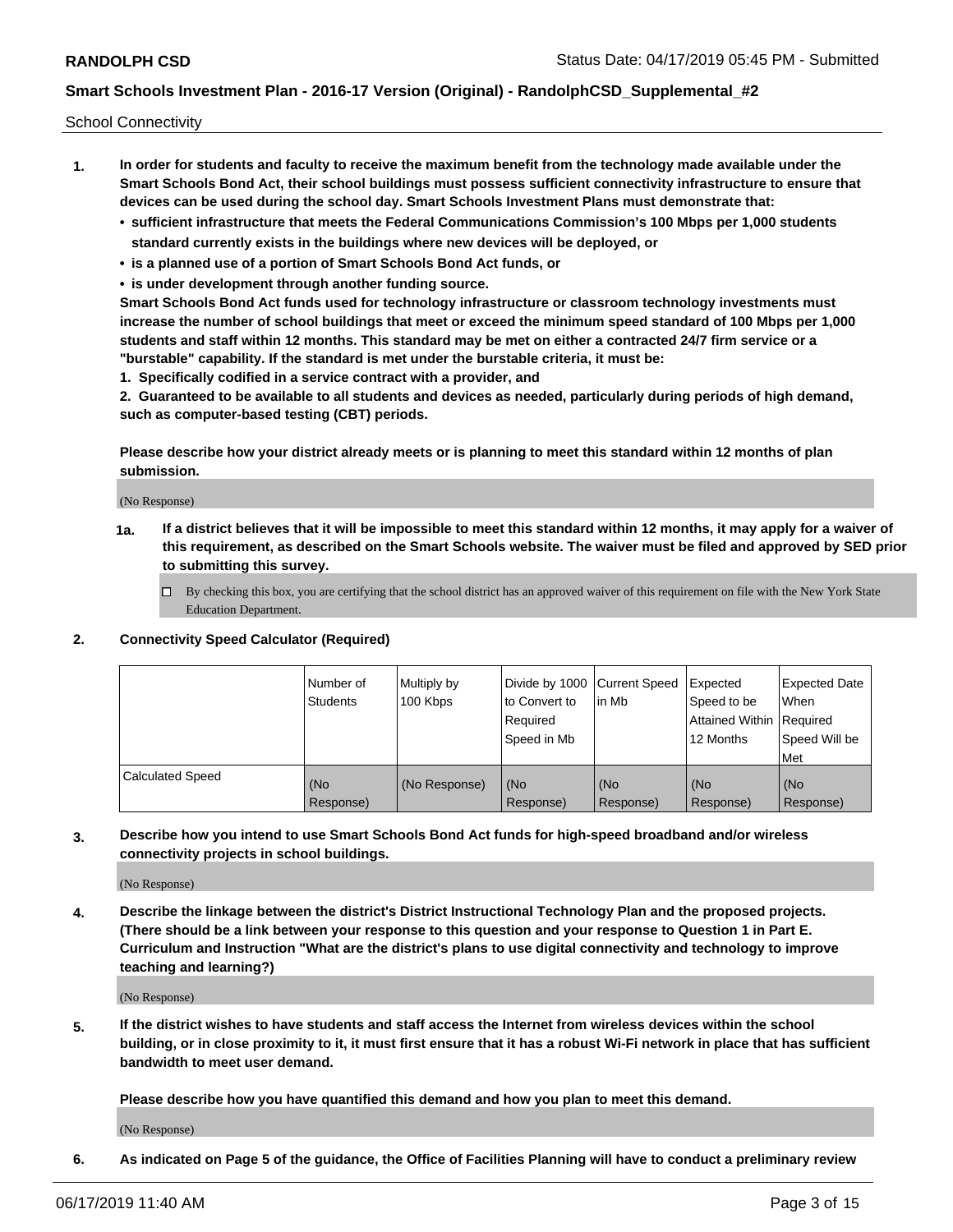School Connectivity

- **1. In order for students and faculty to receive the maximum benefit from the technology made available under the Smart Schools Bond Act, their school buildings must possess sufficient connectivity infrastructure to ensure that devices can be used during the school day. Smart Schools Investment Plans must demonstrate that:**
	- **• sufficient infrastructure that meets the Federal Communications Commission's 100 Mbps per 1,000 students standard currently exists in the buildings where new devices will be deployed, or**
	- **• is a planned use of a portion of Smart Schools Bond Act funds, or**
	- **• is under development through another funding source.**

**Smart Schools Bond Act funds used for technology infrastructure or classroom technology investments must increase the number of school buildings that meet or exceed the minimum speed standard of 100 Mbps per 1,000 students and staff within 12 months. This standard may be met on either a contracted 24/7 firm service or a "burstable" capability. If the standard is met under the burstable criteria, it must be:**

**1. Specifically codified in a service contract with a provider, and**

**2. Guaranteed to be available to all students and devices as needed, particularly during periods of high demand, such as computer-based testing (CBT) periods.**

**Please describe how your district already meets or is planning to meet this standard within 12 months of plan submission.**

(No Response)

**1a. If a district believes that it will be impossible to meet this standard within 12 months, it may apply for a waiver of this requirement, as described on the Smart Schools website. The waiver must be filed and approved by SED prior to submitting this survey.**

 $\Box$  By checking this box, you are certifying that the school district has an approved waiver of this requirement on file with the New York State Education Department.

#### **2. Connectivity Speed Calculator (Required)**

|                         | Number of<br>Students | Multiply by<br>100 Kbps | Divide by 1000 Current Speed<br>to Convert to<br>Required<br>Speed in Mb | l in Mb          | Expected<br>Speed to be<br>Attained Within   Required<br>12 Months | <b>Expected Date</b><br>When<br>Speed Will be<br><b>Met</b> |
|-------------------------|-----------------------|-------------------------|--------------------------------------------------------------------------|------------------|--------------------------------------------------------------------|-------------------------------------------------------------|
| <b>Calculated Speed</b> | (No<br>Response)      | (No Response)           | (No<br>Response)                                                         | (No<br>Response) | (No<br>Response)                                                   | (No<br>Response)                                            |

**3. Describe how you intend to use Smart Schools Bond Act funds for high-speed broadband and/or wireless connectivity projects in school buildings.**

(No Response)

**4. Describe the linkage between the district's District Instructional Technology Plan and the proposed projects. (There should be a link between your response to this question and your response to Question 1 in Part E. Curriculum and Instruction "What are the district's plans to use digital connectivity and technology to improve teaching and learning?)**

(No Response)

**5. If the district wishes to have students and staff access the Internet from wireless devices within the school building, or in close proximity to it, it must first ensure that it has a robust Wi-Fi network in place that has sufficient bandwidth to meet user demand.**

**Please describe how you have quantified this demand and how you plan to meet this demand.**

(No Response)

**6. As indicated on Page 5 of the guidance, the Office of Facilities Planning will have to conduct a preliminary review**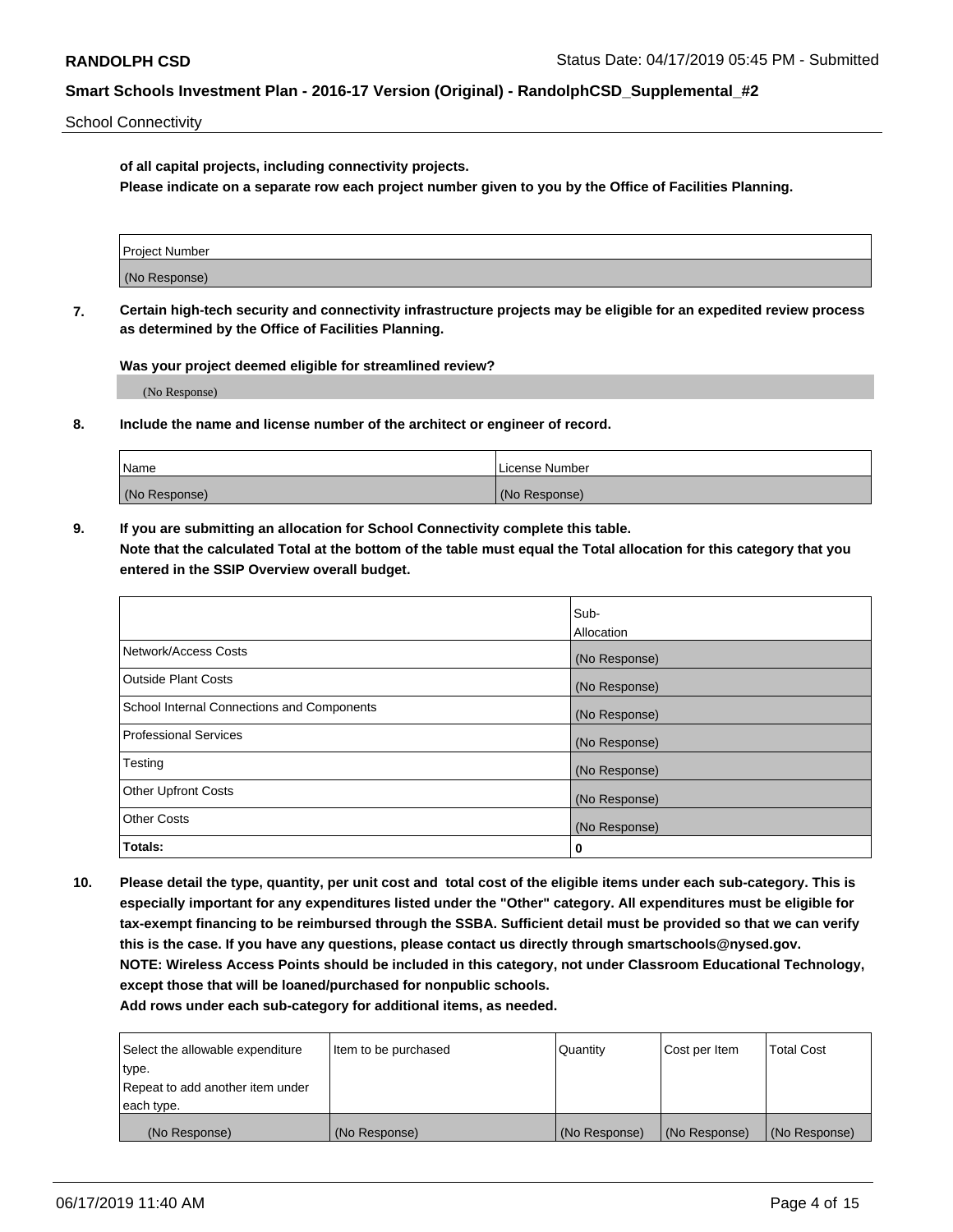School Connectivity

**of all capital projects, including connectivity projects.**

**Please indicate on a separate row each project number given to you by the Office of Facilities Planning.**

| Project Number |  |
|----------------|--|
|                |  |
| (No Response)  |  |
|                |  |

**7. Certain high-tech security and connectivity infrastructure projects may be eligible for an expedited review process as determined by the Office of Facilities Planning.**

**Was your project deemed eligible for streamlined review?**

(No Response)

**8. Include the name and license number of the architect or engineer of record.**

| Name          | License Number |
|---------------|----------------|
| (No Response) | (No Response)  |

**9. If you are submitting an allocation for School Connectivity complete this table. Note that the calculated Total at the bottom of the table must equal the Total allocation for this category that you entered in the SSIP Overview overall budget.** 

|                                            | Sub-              |
|--------------------------------------------|-------------------|
|                                            | <b>Allocation</b> |
| Network/Access Costs                       | (No Response)     |
| <b>Outside Plant Costs</b>                 | (No Response)     |
| School Internal Connections and Components | (No Response)     |
| <b>Professional Services</b>               | (No Response)     |
| Testing                                    | (No Response)     |
| <b>Other Upfront Costs</b>                 | (No Response)     |
| <b>Other Costs</b>                         | (No Response)     |
| Totals:                                    | 0                 |

**10. Please detail the type, quantity, per unit cost and total cost of the eligible items under each sub-category. This is especially important for any expenditures listed under the "Other" category. All expenditures must be eligible for tax-exempt financing to be reimbursed through the SSBA. Sufficient detail must be provided so that we can verify this is the case. If you have any questions, please contact us directly through smartschools@nysed.gov. NOTE: Wireless Access Points should be included in this category, not under Classroom Educational Technology, except those that will be loaned/purchased for nonpublic schools.**

| Select the allowable expenditure | Item to be purchased | Quantity      | Cost per Item | <b>Total Cost</b> |
|----------------------------------|----------------------|---------------|---------------|-------------------|
| type.                            |                      |               |               |                   |
| Repeat to add another item under |                      |               |               |                   |
| each type.                       |                      |               |               |                   |
| (No Response)                    | (No Response)        | (No Response) | (No Response) | (No Response)     |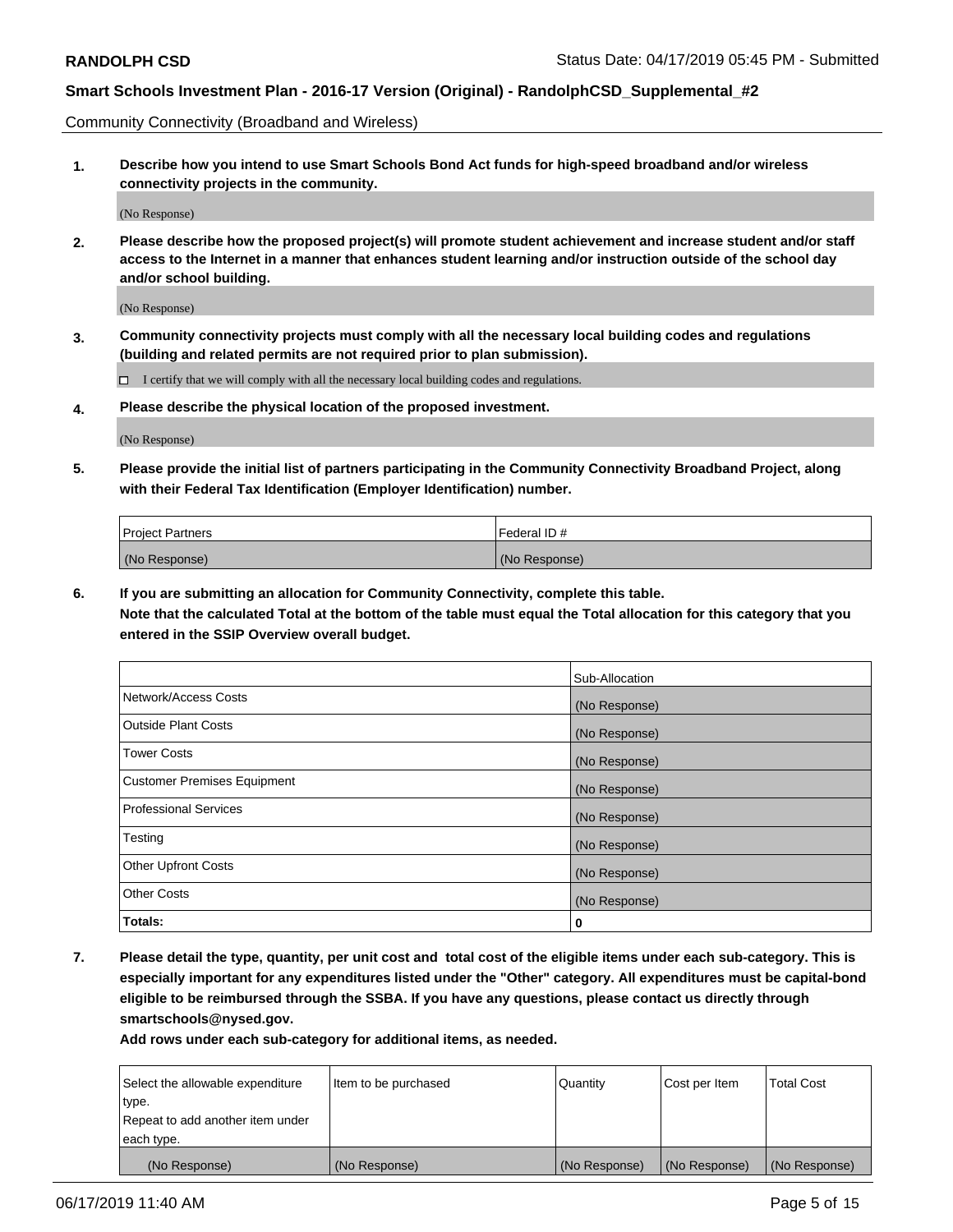Community Connectivity (Broadband and Wireless)

**1. Describe how you intend to use Smart Schools Bond Act funds for high-speed broadband and/or wireless connectivity projects in the community.**

(No Response)

**2. Please describe how the proposed project(s) will promote student achievement and increase student and/or staff access to the Internet in a manner that enhances student learning and/or instruction outside of the school day and/or school building.**

(No Response)

**3. Community connectivity projects must comply with all the necessary local building codes and regulations (building and related permits are not required prior to plan submission).**

 $\Box$  I certify that we will comply with all the necessary local building codes and regulations.

**4. Please describe the physical location of the proposed investment.**

(No Response)

**5. Please provide the initial list of partners participating in the Community Connectivity Broadband Project, along with their Federal Tax Identification (Employer Identification) number.**

| <b>Project Partners</b> | l Federal ID # |
|-------------------------|----------------|
| (No Response)           | (No Response)  |

**6. If you are submitting an allocation for Community Connectivity, complete this table.**

**Note that the calculated Total at the bottom of the table must equal the Total allocation for this category that you entered in the SSIP Overview overall budget.**

|                                    | Sub-Allocation |
|------------------------------------|----------------|
| Network/Access Costs               | (No Response)  |
| <b>Outside Plant Costs</b>         | (No Response)  |
| <b>Tower Costs</b>                 | (No Response)  |
| <b>Customer Premises Equipment</b> | (No Response)  |
| <b>Professional Services</b>       | (No Response)  |
| Testing                            | (No Response)  |
| <b>Other Upfront Costs</b>         | (No Response)  |
| <b>Other Costs</b>                 | (No Response)  |
| Totals:                            | 0              |

**7. Please detail the type, quantity, per unit cost and total cost of the eligible items under each sub-category. This is especially important for any expenditures listed under the "Other" category. All expenditures must be capital-bond eligible to be reimbursed through the SSBA. If you have any questions, please contact us directly through smartschools@nysed.gov.**

| Select the allowable expenditure | Item to be purchased | Quantity      | Cost per Item | <b>Total Cost</b> |
|----------------------------------|----------------------|---------------|---------------|-------------------|
| type.                            |                      |               |               |                   |
| Repeat to add another item under |                      |               |               |                   |
| each type.                       |                      |               |               |                   |
| (No Response)                    | (No Response)        | (No Response) | (No Response) | (No Response)     |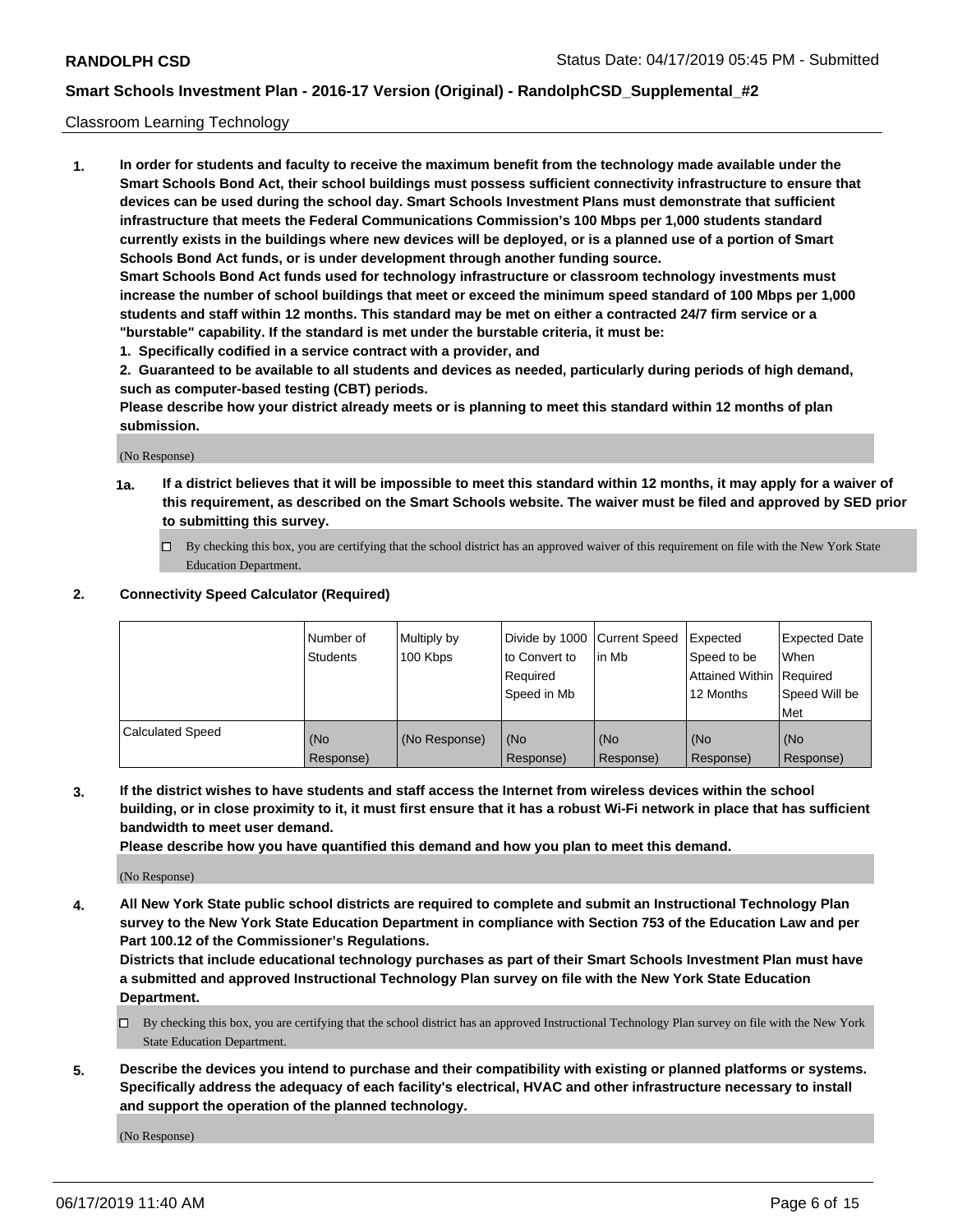#### Classroom Learning Technology

**1. In order for students and faculty to receive the maximum benefit from the technology made available under the Smart Schools Bond Act, their school buildings must possess sufficient connectivity infrastructure to ensure that devices can be used during the school day. Smart Schools Investment Plans must demonstrate that sufficient infrastructure that meets the Federal Communications Commission's 100 Mbps per 1,000 students standard currently exists in the buildings where new devices will be deployed, or is a planned use of a portion of Smart Schools Bond Act funds, or is under development through another funding source. Smart Schools Bond Act funds used for technology infrastructure or classroom technology investments must increase the number of school buildings that meet or exceed the minimum speed standard of 100 Mbps per 1,000 students and staff within 12 months. This standard may be met on either a contracted 24/7 firm service or a**

- **"burstable" capability. If the standard is met under the burstable criteria, it must be:**
- **1. Specifically codified in a service contract with a provider, and**

**2. Guaranteed to be available to all students and devices as needed, particularly during periods of high demand, such as computer-based testing (CBT) periods.**

**Please describe how your district already meets or is planning to meet this standard within 12 months of plan submission.**

(No Response)

- **1a. If a district believes that it will be impossible to meet this standard within 12 months, it may apply for a waiver of this requirement, as described on the Smart Schools website. The waiver must be filed and approved by SED prior to submitting this survey.**
	- By checking this box, you are certifying that the school district has an approved waiver of this requirement on file with the New York State Education Department.

#### **2. Connectivity Speed Calculator (Required)**

|                         | l Number of<br>Students | Multiply by<br>100 Kbps | to Convert to<br>Required<br>Speed in Mb | Divide by 1000 Current Speed Expected<br>lin Mb | Speed to be<br>Attained Within Required<br>12 Months | Expected Date<br>When<br>Speed Will be<br>Met |
|-------------------------|-------------------------|-------------------------|------------------------------------------|-------------------------------------------------|------------------------------------------------------|-----------------------------------------------|
| <b>Calculated Speed</b> | (No<br>Response)        | (No Response)           | (No<br>Response)                         | (No<br>Response)                                | (No<br>Response)                                     | (No<br>Response)                              |

**3. If the district wishes to have students and staff access the Internet from wireless devices within the school building, or in close proximity to it, it must first ensure that it has a robust Wi-Fi network in place that has sufficient bandwidth to meet user demand.**

**Please describe how you have quantified this demand and how you plan to meet this demand.**

(No Response)

**4. All New York State public school districts are required to complete and submit an Instructional Technology Plan survey to the New York State Education Department in compliance with Section 753 of the Education Law and per Part 100.12 of the Commissioner's Regulations.**

**Districts that include educational technology purchases as part of their Smart Schools Investment Plan must have a submitted and approved Instructional Technology Plan survey on file with the New York State Education Department.**

- $\Box$  By checking this box, you are certifying that the school district has an approved Instructional Technology Plan survey on file with the New York State Education Department.
- **5. Describe the devices you intend to purchase and their compatibility with existing or planned platforms or systems. Specifically address the adequacy of each facility's electrical, HVAC and other infrastructure necessary to install and support the operation of the planned technology.**

(No Response)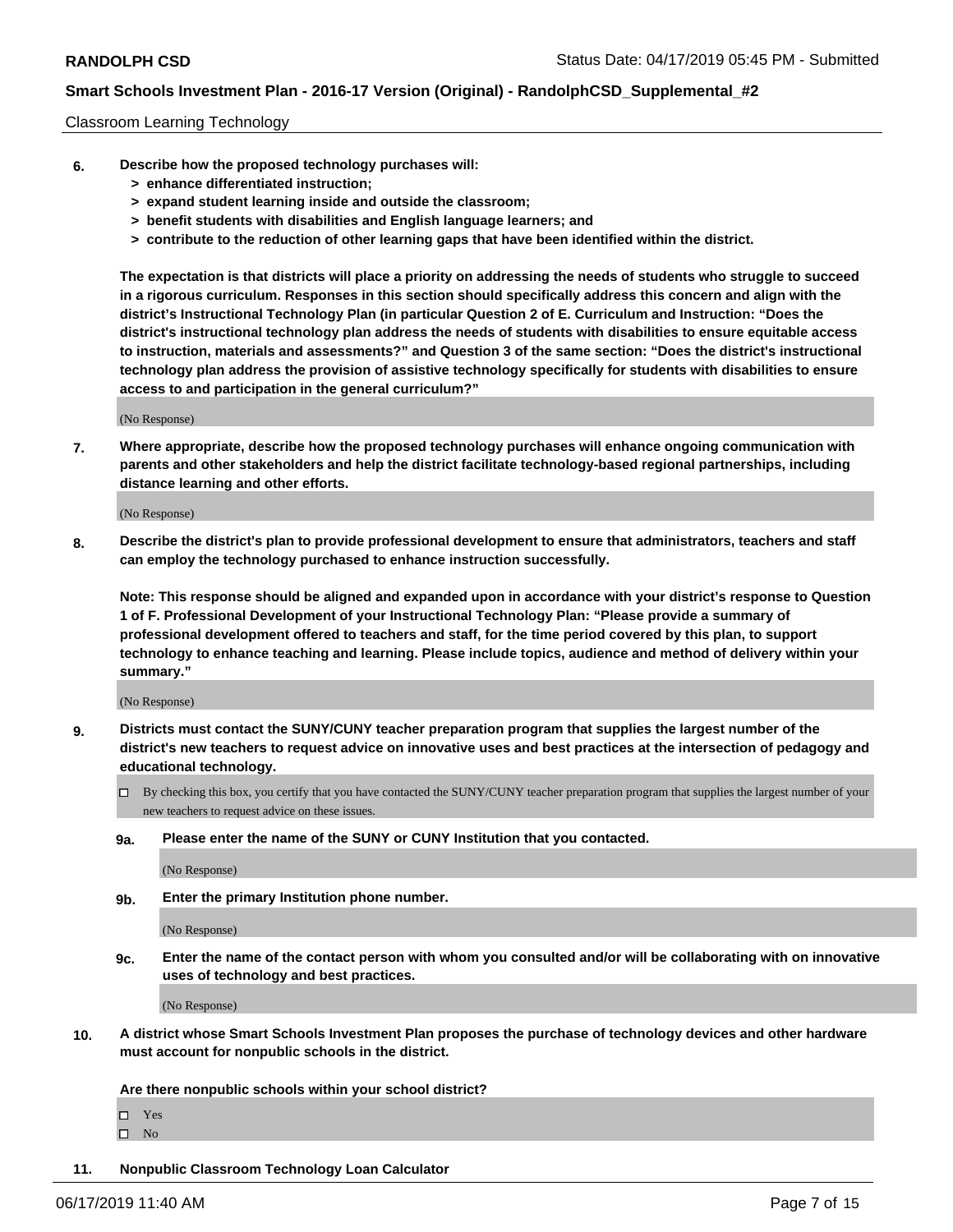#### Classroom Learning Technology

- **6. Describe how the proposed technology purchases will:**
	- **> enhance differentiated instruction;**
	- **> expand student learning inside and outside the classroom;**
	- **> benefit students with disabilities and English language learners; and**
	- **> contribute to the reduction of other learning gaps that have been identified within the district.**

**The expectation is that districts will place a priority on addressing the needs of students who struggle to succeed in a rigorous curriculum. Responses in this section should specifically address this concern and align with the district's Instructional Technology Plan (in particular Question 2 of E. Curriculum and Instruction: "Does the district's instructional technology plan address the needs of students with disabilities to ensure equitable access to instruction, materials and assessments?" and Question 3 of the same section: "Does the district's instructional technology plan address the provision of assistive technology specifically for students with disabilities to ensure access to and participation in the general curriculum?"**

(No Response)

**7. Where appropriate, describe how the proposed technology purchases will enhance ongoing communication with parents and other stakeholders and help the district facilitate technology-based regional partnerships, including distance learning and other efforts.**

(No Response)

**8. Describe the district's plan to provide professional development to ensure that administrators, teachers and staff can employ the technology purchased to enhance instruction successfully.**

**Note: This response should be aligned and expanded upon in accordance with your district's response to Question 1 of F. Professional Development of your Instructional Technology Plan: "Please provide a summary of professional development offered to teachers and staff, for the time period covered by this plan, to support technology to enhance teaching and learning. Please include topics, audience and method of delivery within your summary."**

(No Response)

- **9. Districts must contact the SUNY/CUNY teacher preparation program that supplies the largest number of the district's new teachers to request advice on innovative uses and best practices at the intersection of pedagogy and educational technology.**
	- By checking this box, you certify that you have contacted the SUNY/CUNY teacher preparation program that supplies the largest number of your new teachers to request advice on these issues.
	- **9a. Please enter the name of the SUNY or CUNY Institution that you contacted.**

(No Response)

**9b. Enter the primary Institution phone number.**

(No Response)

**9c. Enter the name of the contact person with whom you consulted and/or will be collaborating with on innovative uses of technology and best practices.**

(No Response)

**10. A district whose Smart Schools Investment Plan proposes the purchase of technology devices and other hardware must account for nonpublic schools in the district.**

**Are there nonpublic schools within your school district?**

Yes

 $\square$  No

**11. Nonpublic Classroom Technology Loan Calculator**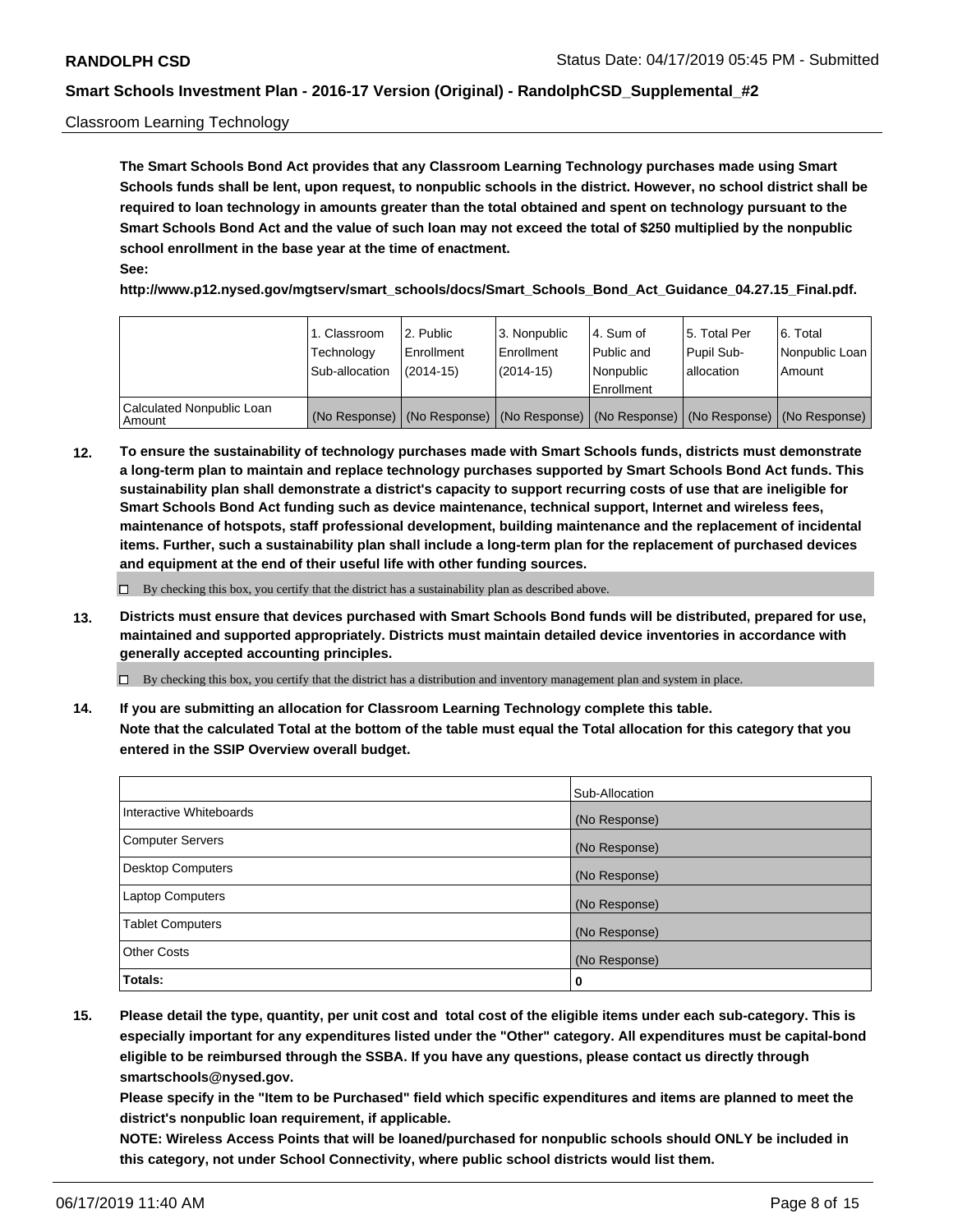#### Classroom Learning Technology

**The Smart Schools Bond Act provides that any Classroom Learning Technology purchases made using Smart Schools funds shall be lent, upon request, to nonpublic schools in the district. However, no school district shall be required to loan technology in amounts greater than the total obtained and spent on technology pursuant to the Smart Schools Bond Act and the value of such loan may not exceed the total of \$250 multiplied by the nonpublic school enrollment in the base year at the time of enactment. See:**

**http://www.p12.nysed.gov/mgtserv/smart\_schools/docs/Smart\_Schools\_Bond\_Act\_Guidance\_04.27.15\_Final.pdf.**

|                                       | 1. Classroom<br>Technology<br>Sub-allocation | l 2. Public<br>Enrollment<br>$(2014-15)$ | 3. Nonpublic<br>l Enrollment<br>$(2014-15)$ | l 4. Sum of<br>Public and<br>l Nonpublic<br>Enrollment                                        | 15. Total Per<br>Pupil Sub-<br>allocation | l 6. Total<br>Nonpublic Loan<br>Amount |
|---------------------------------------|----------------------------------------------|------------------------------------------|---------------------------------------------|-----------------------------------------------------------------------------------------------|-------------------------------------------|----------------------------------------|
| Calculated Nonpublic Loan<br>l Amount |                                              |                                          |                                             | (No Response)   (No Response)   (No Response)   (No Response)   (No Response)   (No Response) |                                           |                                        |

**12. To ensure the sustainability of technology purchases made with Smart Schools funds, districts must demonstrate a long-term plan to maintain and replace technology purchases supported by Smart Schools Bond Act funds. This sustainability plan shall demonstrate a district's capacity to support recurring costs of use that are ineligible for Smart Schools Bond Act funding such as device maintenance, technical support, Internet and wireless fees, maintenance of hotspots, staff professional development, building maintenance and the replacement of incidental items. Further, such a sustainability plan shall include a long-term plan for the replacement of purchased devices and equipment at the end of their useful life with other funding sources.**

 $\Box$  By checking this box, you certify that the district has a sustainability plan as described above.

**13. Districts must ensure that devices purchased with Smart Schools Bond funds will be distributed, prepared for use, maintained and supported appropriately. Districts must maintain detailed device inventories in accordance with generally accepted accounting principles.**

By checking this box, you certify that the district has a distribution and inventory management plan and system in place.

**14. If you are submitting an allocation for Classroom Learning Technology complete this table. Note that the calculated Total at the bottom of the table must equal the Total allocation for this category that you entered in the SSIP Overview overall budget.**

|                         | Sub-Allocation |
|-------------------------|----------------|
| Interactive Whiteboards | (No Response)  |
| Computer Servers        | (No Response)  |
| Desktop Computers       | (No Response)  |
| Laptop Computers        | (No Response)  |
| <b>Tablet Computers</b> | (No Response)  |
| <b>Other Costs</b>      | (No Response)  |
| Totals:                 | 0              |

**15. Please detail the type, quantity, per unit cost and total cost of the eligible items under each sub-category. This is especially important for any expenditures listed under the "Other" category. All expenditures must be capital-bond eligible to be reimbursed through the SSBA. If you have any questions, please contact us directly through smartschools@nysed.gov.**

**Please specify in the "Item to be Purchased" field which specific expenditures and items are planned to meet the district's nonpublic loan requirement, if applicable.**

**NOTE: Wireless Access Points that will be loaned/purchased for nonpublic schools should ONLY be included in this category, not under School Connectivity, where public school districts would list them.**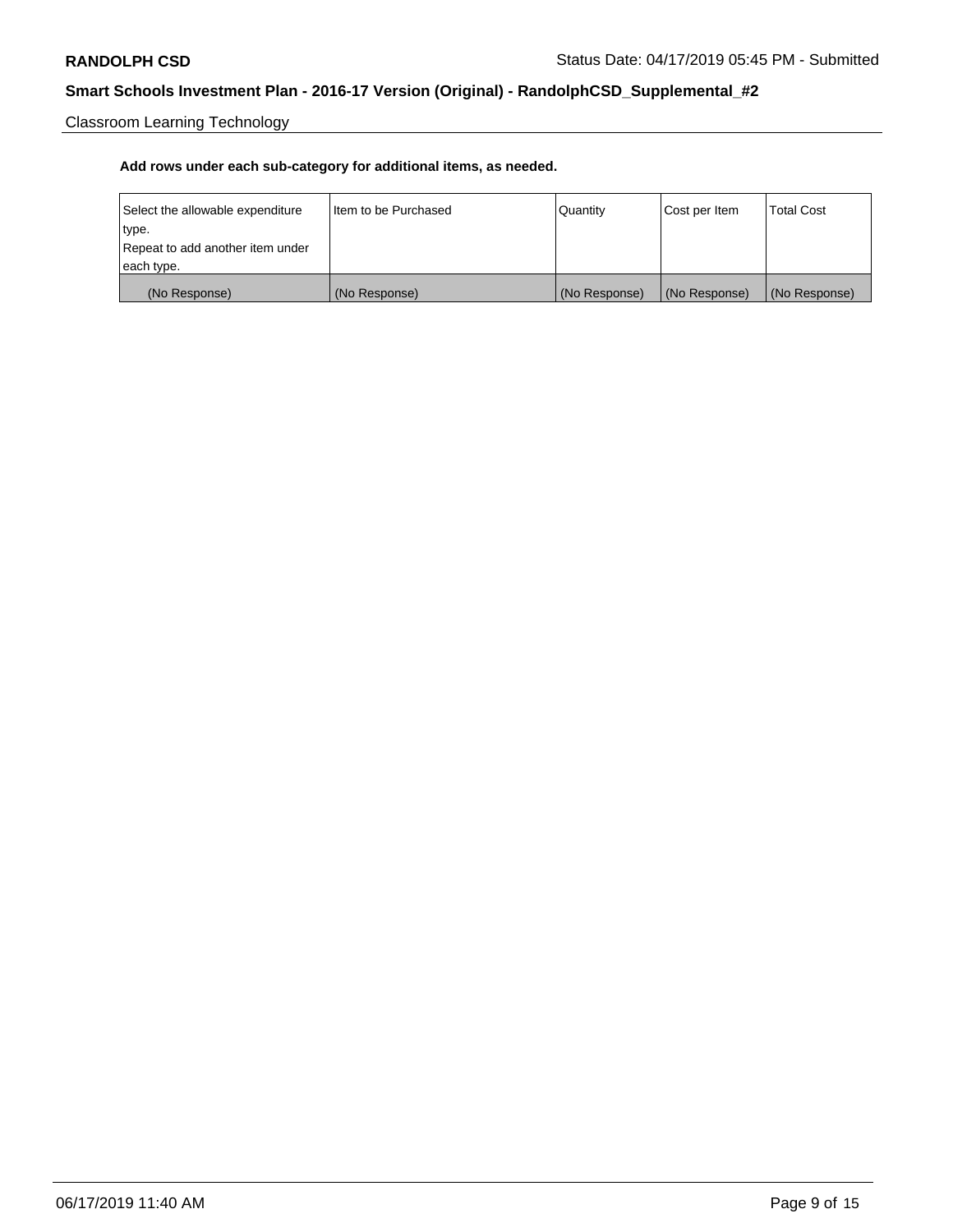Classroom Learning Technology

| Select the allowable expenditure | Iltem to be Purchased | Quantity      | Cost per Item | <b>Total Cost</b> |
|----------------------------------|-----------------------|---------------|---------------|-------------------|
| type.                            |                       |               |               |                   |
| Repeat to add another item under |                       |               |               |                   |
| each type.                       |                       |               |               |                   |
| (No Response)                    | (No Response)         | (No Response) | (No Response) | (No Response)     |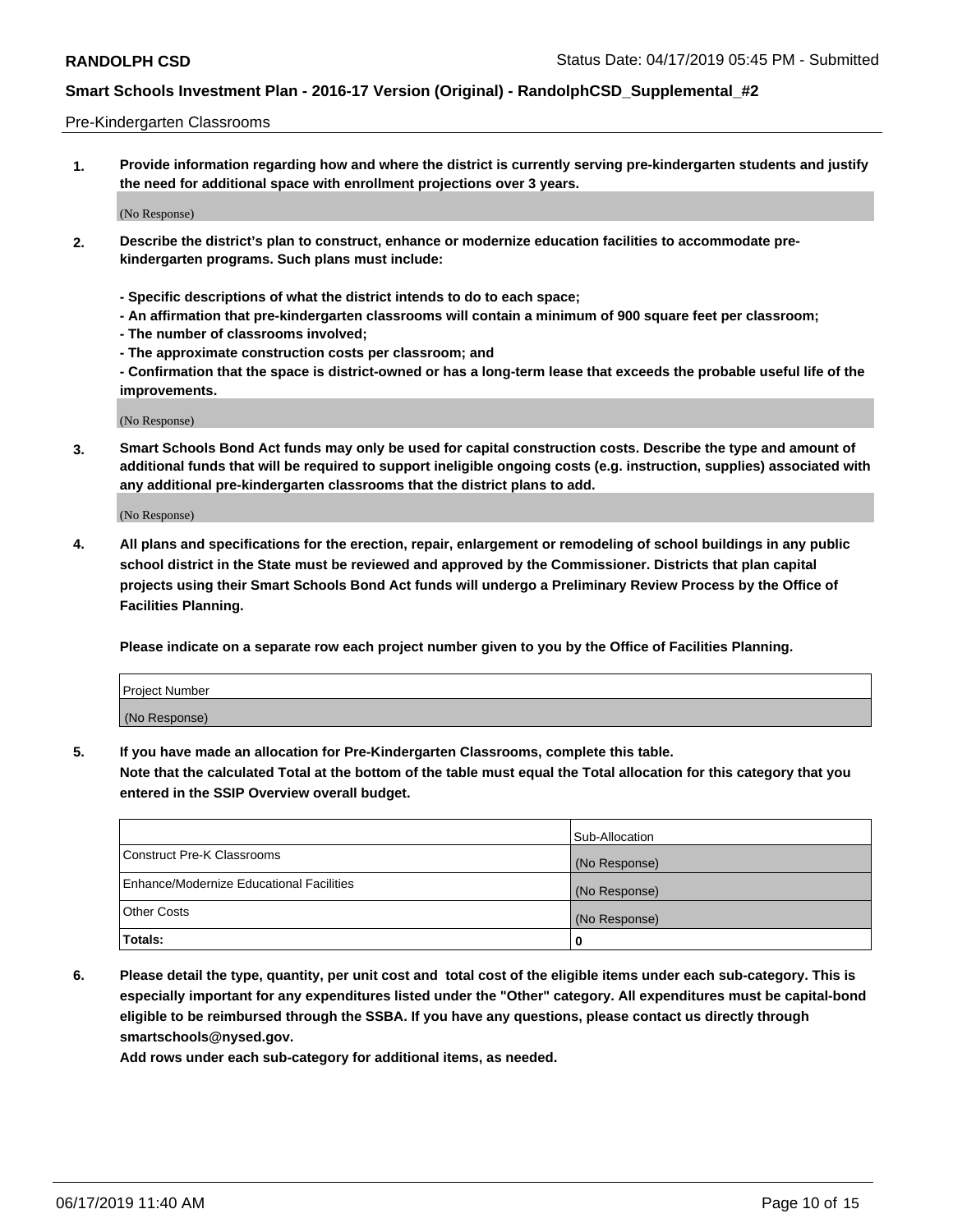#### Pre-Kindergarten Classrooms

**1. Provide information regarding how and where the district is currently serving pre-kindergarten students and justify the need for additional space with enrollment projections over 3 years.**

(No Response)

- **2. Describe the district's plan to construct, enhance or modernize education facilities to accommodate prekindergarten programs. Such plans must include:**
	- **Specific descriptions of what the district intends to do to each space;**
	- **An affirmation that pre-kindergarten classrooms will contain a minimum of 900 square feet per classroom;**
	- **The number of classrooms involved;**
	- **The approximate construction costs per classroom; and**
	- **Confirmation that the space is district-owned or has a long-term lease that exceeds the probable useful life of the improvements.**

(No Response)

**3. Smart Schools Bond Act funds may only be used for capital construction costs. Describe the type and amount of additional funds that will be required to support ineligible ongoing costs (e.g. instruction, supplies) associated with any additional pre-kindergarten classrooms that the district plans to add.**

(No Response)

**4. All plans and specifications for the erection, repair, enlargement or remodeling of school buildings in any public school district in the State must be reviewed and approved by the Commissioner. Districts that plan capital projects using their Smart Schools Bond Act funds will undergo a Preliminary Review Process by the Office of Facilities Planning.**

**Please indicate on a separate row each project number given to you by the Office of Facilities Planning.**

| Project Number |  |
|----------------|--|
| (No Response)  |  |
|                |  |

**5. If you have made an allocation for Pre-Kindergarten Classrooms, complete this table.**

**Note that the calculated Total at the bottom of the table must equal the Total allocation for this category that you entered in the SSIP Overview overall budget.**

|                                          | Sub-Allocation |
|------------------------------------------|----------------|
| Construct Pre-K Classrooms               | (No Response)  |
| Enhance/Modernize Educational Facilities | (No Response)  |
| <b>Other Costs</b>                       | (No Response)  |
| Totals:                                  | 0              |

**6. Please detail the type, quantity, per unit cost and total cost of the eligible items under each sub-category. This is especially important for any expenditures listed under the "Other" category. All expenditures must be capital-bond eligible to be reimbursed through the SSBA. If you have any questions, please contact us directly through smartschools@nysed.gov.**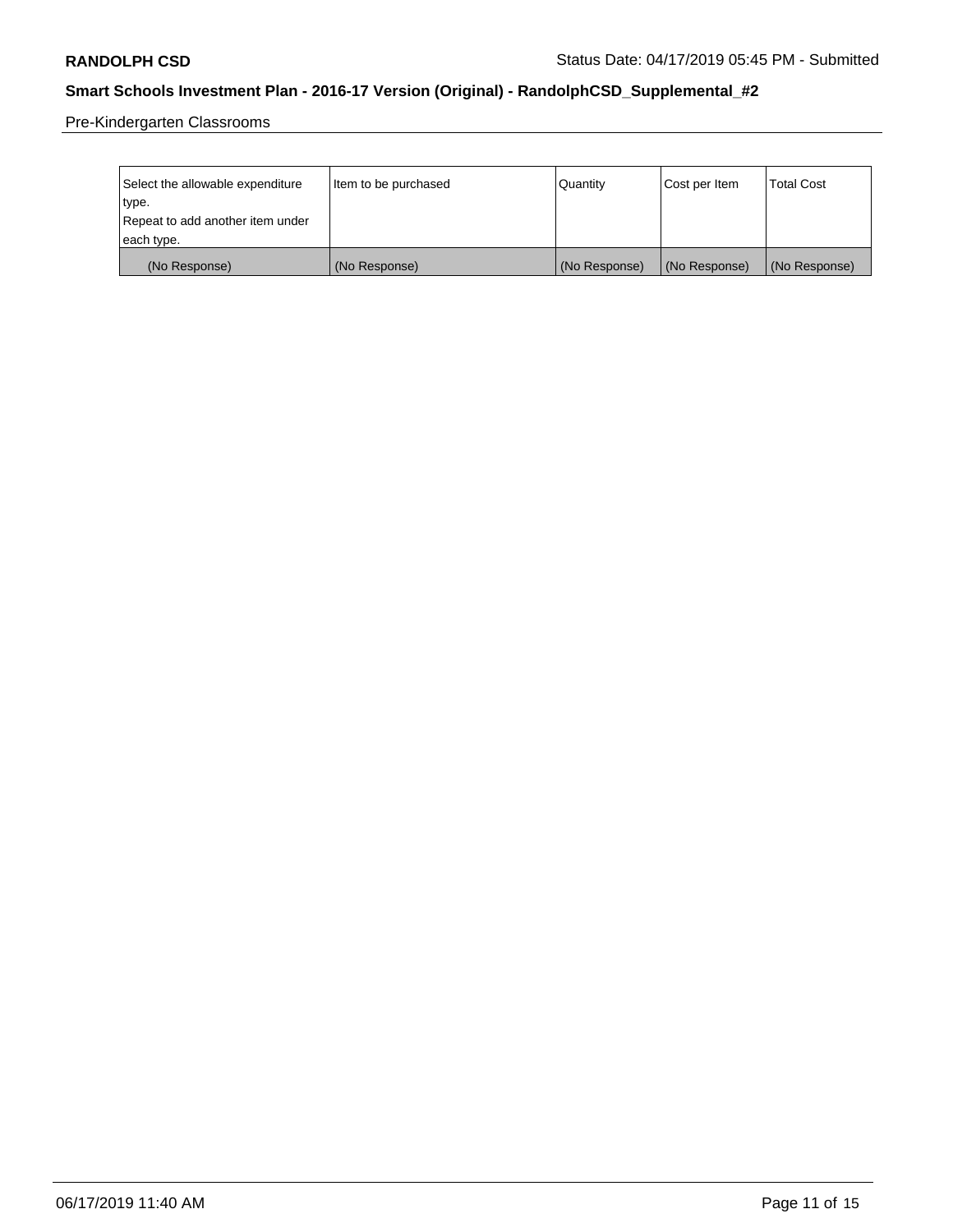Pre-Kindergarten Classrooms

| Select the allowable expenditure | Item to be purchased | Quantity      | Cost per Item | <b>Total Cost</b> |
|----------------------------------|----------------------|---------------|---------------|-------------------|
| type.                            |                      |               |               |                   |
| Repeat to add another item under |                      |               |               |                   |
| each type.                       |                      |               |               |                   |
| (No Response)                    | (No Response)        | (No Response) | (No Response) | (No Response)     |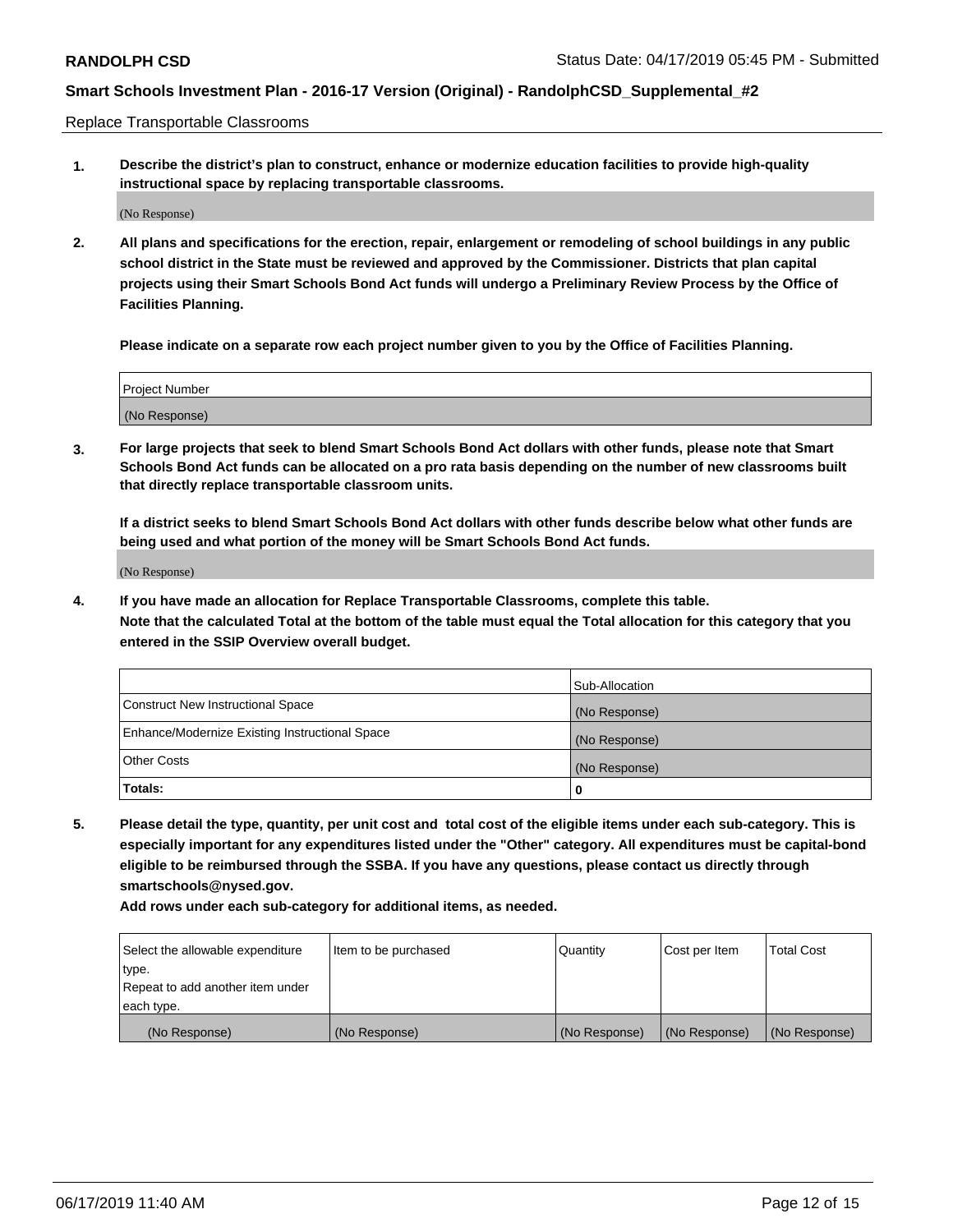Replace Transportable Classrooms

**1. Describe the district's plan to construct, enhance or modernize education facilities to provide high-quality instructional space by replacing transportable classrooms.**

(No Response)

**2. All plans and specifications for the erection, repair, enlargement or remodeling of school buildings in any public school district in the State must be reviewed and approved by the Commissioner. Districts that plan capital projects using their Smart Schools Bond Act funds will undergo a Preliminary Review Process by the Office of Facilities Planning.**

**Please indicate on a separate row each project number given to you by the Office of Facilities Planning.**

| Project Number |  |
|----------------|--|
|                |  |
|                |  |
|                |  |
|                |  |
| (No Response)  |  |
|                |  |
|                |  |
|                |  |

**3. For large projects that seek to blend Smart Schools Bond Act dollars with other funds, please note that Smart Schools Bond Act funds can be allocated on a pro rata basis depending on the number of new classrooms built that directly replace transportable classroom units.**

**If a district seeks to blend Smart Schools Bond Act dollars with other funds describe below what other funds are being used and what portion of the money will be Smart Schools Bond Act funds.**

(No Response)

**4. If you have made an allocation for Replace Transportable Classrooms, complete this table. Note that the calculated Total at the bottom of the table must equal the Total allocation for this category that you entered in the SSIP Overview overall budget.**

|                                                | Sub-Allocation |
|------------------------------------------------|----------------|
| Construct New Instructional Space              | (No Response)  |
| Enhance/Modernize Existing Instructional Space | (No Response)  |
| <b>Other Costs</b>                             | (No Response)  |
| Totals:                                        | 0              |

**5. Please detail the type, quantity, per unit cost and total cost of the eligible items under each sub-category. This is especially important for any expenditures listed under the "Other" category. All expenditures must be capital-bond eligible to be reimbursed through the SSBA. If you have any questions, please contact us directly through smartschools@nysed.gov.**

| Select the allowable expenditure | Item to be purchased | l Quantitv    | Cost per Item | <b>Total Cost</b> |
|----------------------------------|----------------------|---------------|---------------|-------------------|
| type.                            |                      |               |               |                   |
| Repeat to add another item under |                      |               |               |                   |
| each type.                       |                      |               |               |                   |
| (No Response)                    | (No Response)        | (No Response) | (No Response) | (No Response)     |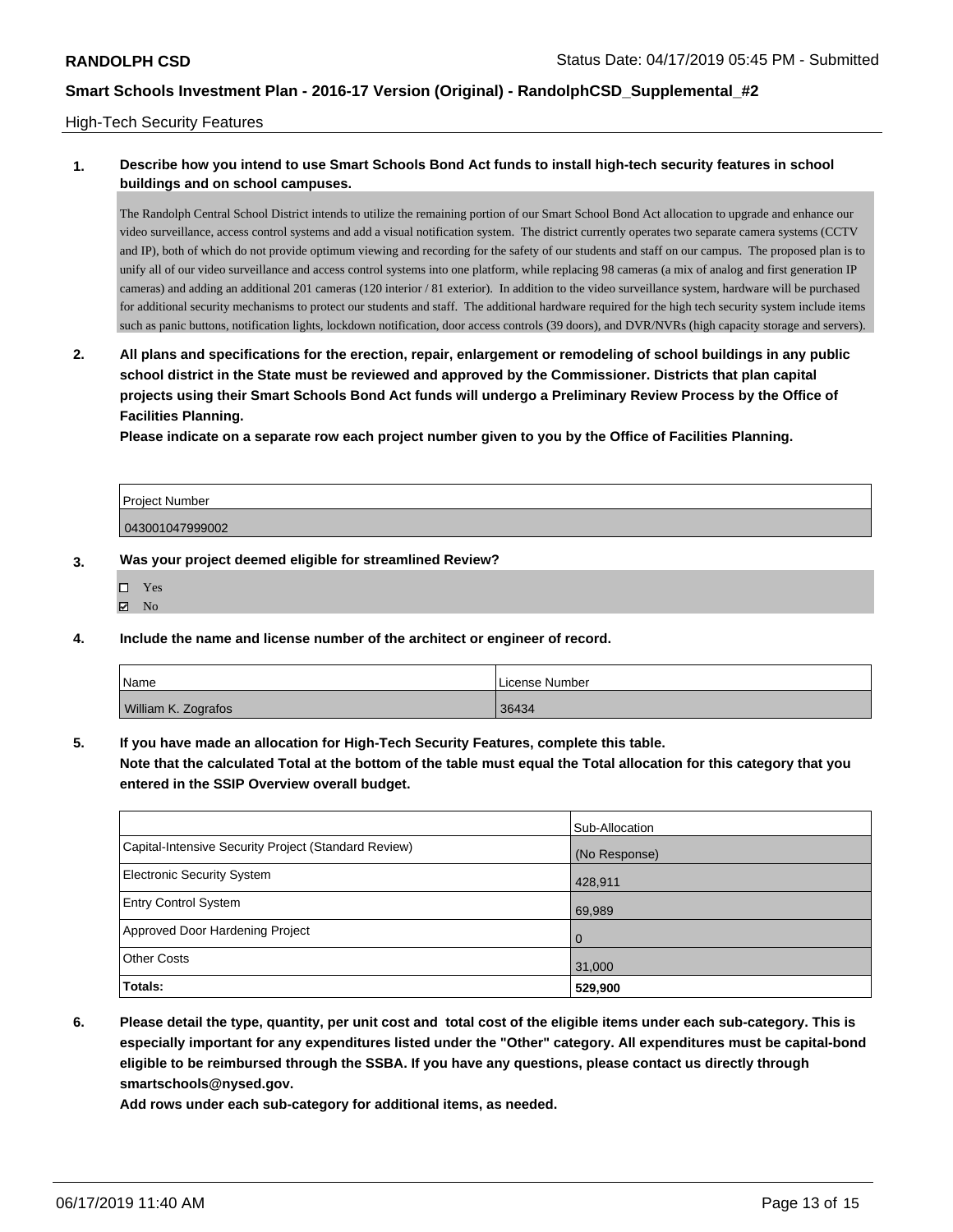#### High-Tech Security Features

### **1. Describe how you intend to use Smart Schools Bond Act funds to install high-tech security features in school buildings and on school campuses.**

The Randolph Central School District intends to utilize the remaining portion of our Smart School Bond Act allocation to upgrade and enhance our video surveillance, access control systems and add a visual notification system. The district currently operates two separate camera systems (CCTV and IP), both of which do not provide optimum viewing and recording for the safety of our students and staff on our campus. The proposed plan is to unify all of our video surveillance and access control systems into one platform, while replacing 98 cameras (a mix of analog and first generation IP cameras) and adding an additional 201 cameras (120 interior / 81 exterior). In addition to the video surveillance system, hardware will be purchased for additional security mechanisms to protect our students and staff. The additional hardware required for the high tech security system include items such as panic buttons, notification lights, lockdown notification, door access controls (39 doors), and DVR/NVRs (high capacity storage and servers).

**2. All plans and specifications for the erection, repair, enlargement or remodeling of school buildings in any public school district in the State must be reviewed and approved by the Commissioner. Districts that plan capital projects using their Smart Schools Bond Act funds will undergo a Preliminary Review Process by the Office of Facilities Planning.** 

**Please indicate on a separate row each project number given to you by the Office of Facilities Planning.**

| Project Number  |  |
|-----------------|--|
| 043001047999002 |  |

#### **3. Was your project deemed eligible for streamlined Review?**

| п | Yes |
|---|-----|
| 罓 | No  |

**4. Include the name and license number of the architect or engineer of record.**

| Name                | License Number |
|---------------------|----------------|
| William K. Zografos | 36434          |

**5. If you have made an allocation for High-Tech Security Features, complete this table.**

**Note that the calculated Total at the bottom of the table must equal the Total allocation for this category that you entered in the SSIP Overview overall budget.**

|                                                      | Sub-Allocation |
|------------------------------------------------------|----------------|
| Capital-Intensive Security Project (Standard Review) | (No Response)  |
| <b>Electronic Security System</b>                    | 428,911        |
| <b>Entry Control System</b>                          | 69,989         |
| Approved Door Hardening Project                      | $\Omega$       |
| <b>Other Costs</b>                                   | 31,000         |
| Totals:                                              | 529,900        |

**6. Please detail the type, quantity, per unit cost and total cost of the eligible items under each sub-category. This is especially important for any expenditures listed under the "Other" category. All expenditures must be capital-bond eligible to be reimbursed through the SSBA. If you have any questions, please contact us directly through smartschools@nysed.gov.**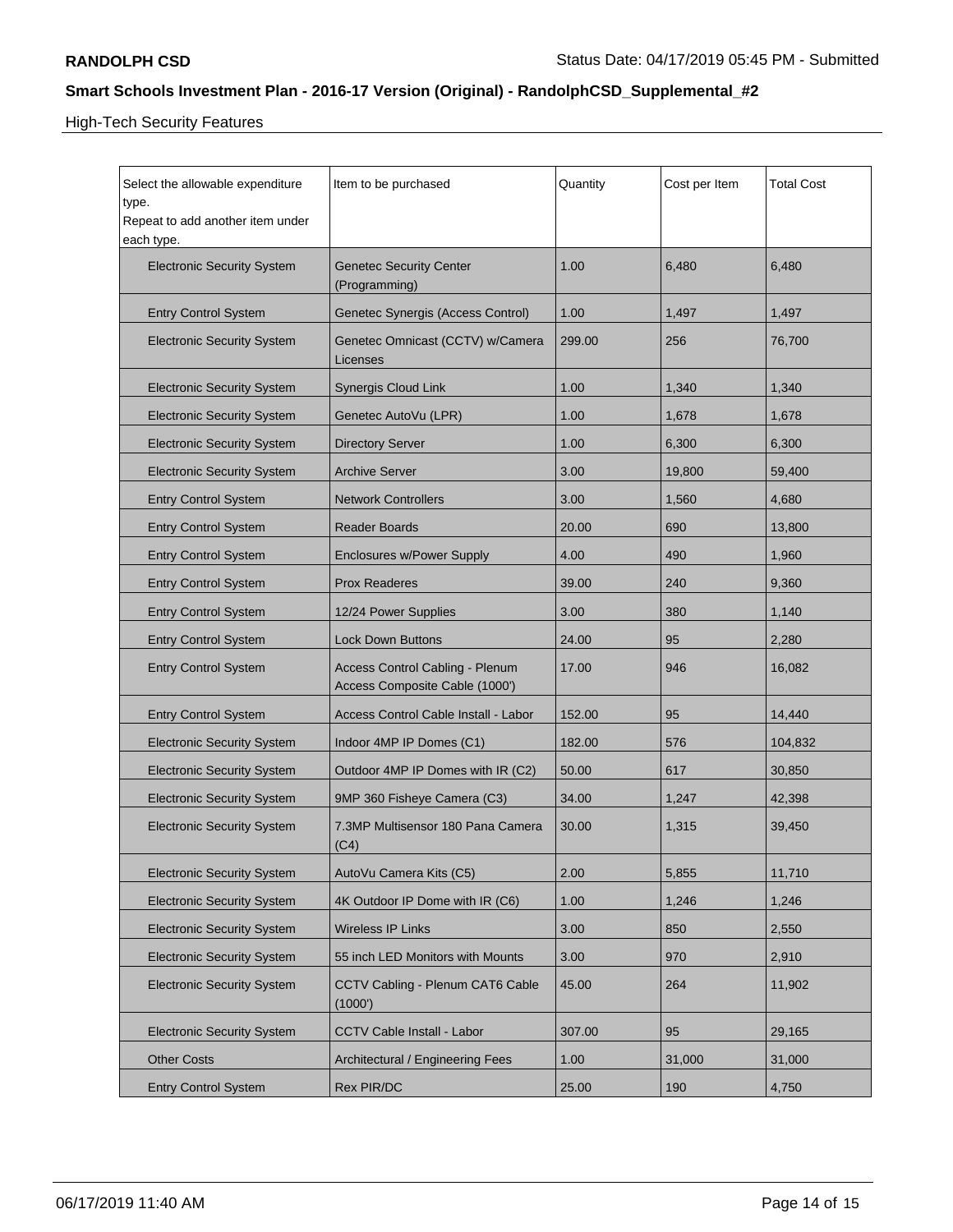High-Tech Security Features

| Select the allowable expenditure<br>type.<br>Repeat to add another item under<br>each type. | Item to be purchased                                                     | Quantity | Cost per Item | <b>Total Cost</b> |
|---------------------------------------------------------------------------------------------|--------------------------------------------------------------------------|----------|---------------|-------------------|
| <b>Electronic Security System</b>                                                           | Genetec Security Center<br>(Programming)                                 | 1.00     | 6,480         | 6,480             |
| <b>Entry Control System</b>                                                                 | Genetec Synergis (Access Control)                                        | 1.00     | 1,497         | 1,497             |
| <b>Electronic Security System</b>                                                           | Genetec Omnicast (CCTV) w/Camera<br>Licenses                             | 299.00   | 256           | 76,700            |
| <b>Electronic Security System</b>                                                           | <b>Synergis Cloud Link</b>                                               | 1.00     | 1,340         | 1,340             |
| <b>Electronic Security System</b>                                                           | Genetec AutoVu (LPR)                                                     | 1.00     | 1,678         | 1,678             |
| <b>Electronic Security System</b>                                                           | <b>Directory Server</b>                                                  | 1.00     | 6,300         | 6,300             |
| <b>Electronic Security System</b>                                                           | <b>Archive Server</b>                                                    | 3.00     | 19,800        | 59,400            |
| <b>Entry Control System</b>                                                                 | <b>Network Controllers</b>                                               | 3.00     | 1,560         | 4,680             |
| <b>Entry Control System</b>                                                                 | Reader Boards                                                            | 20.00    | 690           | 13,800            |
| <b>Entry Control System</b>                                                                 | <b>Enclosures w/Power Supply</b>                                         | 4.00     | 490           | 1,960             |
| <b>Entry Control System</b>                                                                 | Prox Readeres                                                            | 39.00    | 240           | 9,360             |
| <b>Entry Control System</b>                                                                 | 12/24 Power Supplies                                                     | 3.00     | 380           | 1,140             |
| <b>Entry Control System</b>                                                                 | <b>Lock Down Buttons</b>                                                 | 24.00    | 95            | 2,280             |
| <b>Entry Control System</b>                                                                 | <b>Access Control Cabling - Plenum</b><br>Access Composite Cable (1000') | 17.00    | 946           | 16,082            |
| <b>Entry Control System</b>                                                                 | Access Control Cable Install - Labor                                     | 152.00   | 95            | 14,440            |
| <b>Electronic Security System</b>                                                           | Indoor 4MP IP Domes (C1)                                                 | 182.00   | 576           | 104,832           |
| <b>Electronic Security System</b>                                                           | Outdoor 4MP IP Domes with IR (C2)                                        | 50.00    | 617           | 30,850            |
| <b>Electronic Security System</b>                                                           | 9MP 360 Fisheye Camera (C3)                                              | 34.00    | 1,247         | 42,398            |
| <b>Electronic Security System</b>                                                           | 7.3MP Multisensor 180 Pana Camera<br>(C4)                                | 30.00    | 1,315         | 39,450            |
| <b>Electronic Security System</b>                                                           | AutoVu Camera Kits (C5)                                                  | 2.00     | 5,855         | 11,710            |
| <b>Electronic Security System</b>                                                           | 4K Outdoor IP Dome with IR (C6)                                          | 1.00     | 1,246         | 1,246             |
| <b>Electronic Security System</b>                                                           | <b>Wireless IP Links</b>                                                 | 3.00     | 850           | 2,550             |
| <b>Electronic Security System</b>                                                           | 55 inch LED Monitors with Mounts                                         | 3.00     | 970           | 2,910             |
| <b>Electronic Security System</b>                                                           | CCTV Cabling - Plenum CAT6 Cable<br>(1000')                              | 45.00    | 264           | 11,902            |
| <b>Electronic Security System</b>                                                           | <b>CCTV Cable Install - Labor</b>                                        | 307.00   | 95            | 29,165            |
| <b>Other Costs</b>                                                                          | Architectural / Engineering Fees                                         | 1.00     | 31,000        | 31,000            |
| <b>Entry Control System</b>                                                                 | <b>Rex PIR/DC</b>                                                        | 25.00    | 190           | 4,750             |